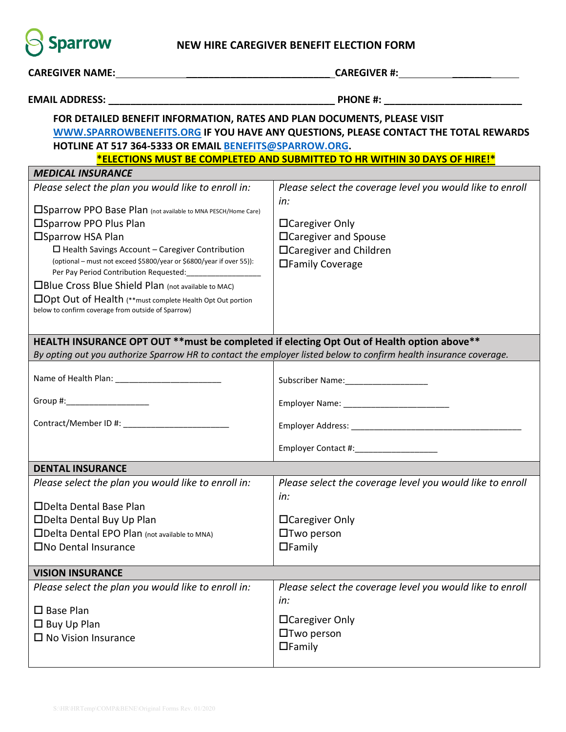

## **NEW HIRE CAREGIVER BENEFIT ELECTION FORM**

| <b>CAREGIVER NAME:</b> THE STATE OF THE STATE OF THE STATE OF THE STATE OF THE STATE OF THE STATE OF THE STATE OF THE STATE OF THE STATE OF THE STATE OF THE STATE OF THE STATE OF THE STATE OF THE STATE OF THE STATE OF THE STATE | <b>CAREGIVER #:</b> The contract of the contract of the contract of the contract of the contract of the contract of the contract of the contract of the contract of the contract of the contract of the contract of the contract of |  |  |  |  |  |  |  |
|-------------------------------------------------------------------------------------------------------------------------------------------------------------------------------------------------------------------------------------|-------------------------------------------------------------------------------------------------------------------------------------------------------------------------------------------------------------------------------------|--|--|--|--|--|--|--|
|                                                                                                                                                                                                                                     |                                                                                                                                                                                                                                     |  |  |  |  |  |  |  |
| FOR DETAILED BENEFIT INFORMATION, RATES AND PLAN DOCUMENTS, PLEASE VISIT                                                                                                                                                            |                                                                                                                                                                                                                                     |  |  |  |  |  |  |  |
| WWW.SPARROWBENEFITS.ORG IF YOU HAVE ANY QUESTIONS, PLEASE CONTACT THE TOTAL REWARDS                                                                                                                                                 |                                                                                                                                                                                                                                     |  |  |  |  |  |  |  |
| HOTLINE AT 517 364-5333 OR EMAIL BENEFITS@SPARROW.ORG.                                                                                                                                                                              |                                                                                                                                                                                                                                     |  |  |  |  |  |  |  |
| *ELECTIONS MUST BE COMPLETED AND SUBMITTED TO HR WITHIN 30 DAYS OF HIRE!*                                                                                                                                                           |                                                                                                                                                                                                                                     |  |  |  |  |  |  |  |
| <b>MEDICAL INSURANCE</b>                                                                                                                                                                                                            |                                                                                                                                                                                                                                     |  |  |  |  |  |  |  |
| Please select the plan you would like to enroll in:                                                                                                                                                                                 | Please select the coverage level you would like to enroll                                                                                                                                                                           |  |  |  |  |  |  |  |
| <b>ISparrow PPO Base Plan</b> (not available to MNA PESCH/Home Care)                                                                                                                                                                | in:                                                                                                                                                                                                                                 |  |  |  |  |  |  |  |
| □Sparrow PPO Plus Plan                                                                                                                                                                                                              | □ Caregiver Only                                                                                                                                                                                                                    |  |  |  |  |  |  |  |
| □Sparrow HSA Plan                                                                                                                                                                                                                   | □ Caregiver and Spouse                                                                                                                                                                                                              |  |  |  |  |  |  |  |
| $\square$ Health Savings Account - Caregiver Contribution                                                                                                                                                                           | □Caregiver and Children                                                                                                                                                                                                             |  |  |  |  |  |  |  |
| (optional – must not exceed \$5800/year or \$6800/year if over 55)):                                                                                                                                                                | □Family Coverage                                                                                                                                                                                                                    |  |  |  |  |  |  |  |
| Per Pay Period Contribution Requested: ______________________                                                                                                                                                                       |                                                                                                                                                                                                                                     |  |  |  |  |  |  |  |
| □Blue Cross Blue Shield Plan (not available to MAC)                                                                                                                                                                                 |                                                                                                                                                                                                                                     |  |  |  |  |  |  |  |
| □Opt Out of Health (**must complete Health Opt Out portion<br>below to confirm coverage from outside of Sparrow)                                                                                                                    |                                                                                                                                                                                                                                     |  |  |  |  |  |  |  |
|                                                                                                                                                                                                                                     |                                                                                                                                                                                                                                     |  |  |  |  |  |  |  |
|                                                                                                                                                                                                                                     |                                                                                                                                                                                                                                     |  |  |  |  |  |  |  |
| HEALTH INSURANCE OPT OUT ** must be completed if electing Opt Out of Health option above**                                                                                                                                          |                                                                                                                                                                                                                                     |  |  |  |  |  |  |  |
| By opting out you authorize Sparrow HR to contact the employer listed below to confirm health insurance coverage.                                                                                                                   |                                                                                                                                                                                                                                     |  |  |  |  |  |  |  |
|                                                                                                                                                                                                                                     |                                                                                                                                                                                                                                     |  |  |  |  |  |  |  |
| Group #:_____________________                                                                                                                                                                                                       |                                                                                                                                                                                                                                     |  |  |  |  |  |  |  |
|                                                                                                                                                                                                                                     |                                                                                                                                                                                                                                     |  |  |  |  |  |  |  |
|                                                                                                                                                                                                                                     | Employer Contact #: ______________________                                                                                                                                                                                          |  |  |  |  |  |  |  |
| <b>DENTAL INSURANCE</b>                                                                                                                                                                                                             |                                                                                                                                                                                                                                     |  |  |  |  |  |  |  |
| Please select the plan you would like to enroll in:                                                                                                                                                                                 | Please select the coverage level you would like to enroll<br>in:                                                                                                                                                                    |  |  |  |  |  |  |  |
| □Delta Dental Base Plan                                                                                                                                                                                                             |                                                                                                                                                                                                                                     |  |  |  |  |  |  |  |
| □Delta Dental Buy Up Plan                                                                                                                                                                                                           | □Caregiver Only                                                                                                                                                                                                                     |  |  |  |  |  |  |  |
| □Delta Dental EPO Plan (not available to MNA)                                                                                                                                                                                       | $\Box$ Two person                                                                                                                                                                                                                   |  |  |  |  |  |  |  |
| □No Dental Insurance                                                                                                                                                                                                                | $\Box$ Family                                                                                                                                                                                                                       |  |  |  |  |  |  |  |
| <b>VISION INSURANCE</b>                                                                                                                                                                                                             |                                                                                                                                                                                                                                     |  |  |  |  |  |  |  |
| Please select the plan you would like to enroll in:                                                                                                                                                                                 | Please select the coverage level you would like to enroll                                                                                                                                                                           |  |  |  |  |  |  |  |
|                                                                                                                                                                                                                                     | in:                                                                                                                                                                                                                                 |  |  |  |  |  |  |  |
| $\square$ Base Plan                                                                                                                                                                                                                 | □ Caregiver Only                                                                                                                                                                                                                    |  |  |  |  |  |  |  |
| $\square$ Buy Up Plan                                                                                                                                                                                                               | $\Box$ Two person                                                                                                                                                                                                                   |  |  |  |  |  |  |  |
| $\Box$ No Vision Insurance                                                                                                                                                                                                          | $\Box$ Family                                                                                                                                                                                                                       |  |  |  |  |  |  |  |
|                                                                                                                                                                                                                                     |                                                                                                                                                                                                                                     |  |  |  |  |  |  |  |